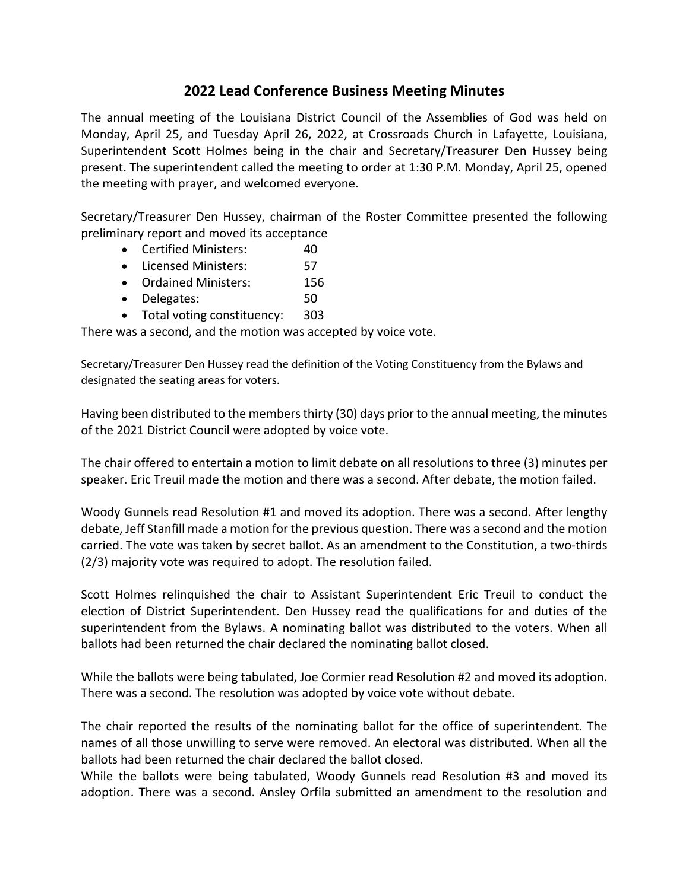## **2022 Lead Conference Business Meeting Minutes**

The annual meeting of the Louisiana District Council of the Assemblies of God was held on Monday, April 25, and Tuesday April 26, 2022, at Crossroads Church in Lafayette, Louisiana, Superintendent Scott Holmes being in the chair and Secretary/Treasurer Den Hussey being present. The superintendent called the meeting to order at 1:30 P.M. Monday, April 25, opened the meeting with prayer, and welcomed everyone.

Secretary/Treasurer Den Hussey, chairman of the Roster Committee presented the following preliminary report and moved its acceptance

- Certified Ministers: 40
- Licensed Ministers: 57
- Ordained Ministers: 156
- Delegates: 50
- Total voting constituency: 303

There was a second, and the motion was accepted by voice vote.

Secretary/Treasurer Den Hussey read the definition of the Voting Constituency from the Bylaws and designated the seating areas for voters.

Having been distributed to the members thirty (30) days prior to the annual meeting, the minutes of the 2021 District Council were adopted by voice vote.

The chair offered to entertain a motion to limit debate on all resolutions to three (3) minutes per speaker. Eric Treuil made the motion and there was a second. After debate, the motion failed.

Woody Gunnels read Resolution #1 and moved its adoption. There was a second. After lengthy debate, Jeff Stanfill made a motion for the previous question. There was a second and the motion carried. The vote was taken by secret ballot. As an amendment to the Constitution, a two-thirds (2/3) majority vote was required to adopt. The resolution failed.

Scott Holmes relinquished the chair to Assistant Superintendent Eric Treuil to conduct the election of District Superintendent. Den Hussey read the qualifications for and duties of the superintendent from the Bylaws. A nominating ballot was distributed to the voters. When all ballots had been returned the chair declared the nominating ballot closed.

While the ballots were being tabulated, Joe Cormier read Resolution #2 and moved its adoption. There was a second. The resolution was adopted by voice vote without debate.

The chair reported the results of the nominating ballot for the office of superintendent. The names of all those unwilling to serve were removed. An electoral was distributed. When all the ballots had been returned the chair declared the ballot closed.

While the ballots were being tabulated, Woody Gunnels read Resolution #3 and moved its adoption. There was a second. Ansley Orfila submitted an amendment to the resolution and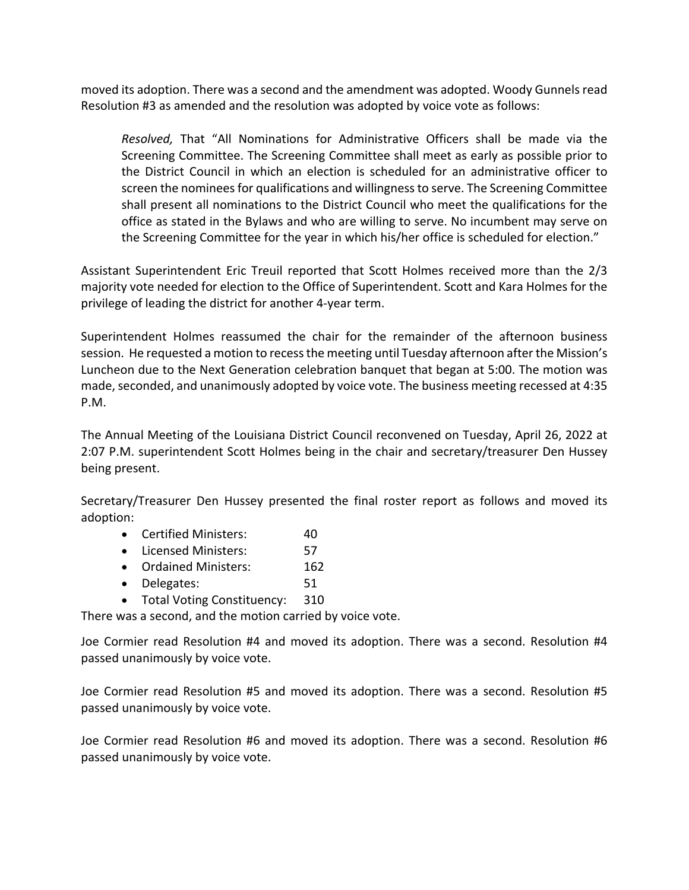moved its adoption. There was a second and the amendment was adopted. Woody Gunnels read Resolution #3 as amended and the resolution was adopted by voice vote as follows:

*Resolved,* That "All Nominations for Administrative Officers shall be made via the Screening Committee. The Screening Committee shall meet as early as possible prior to the District Council in which an election is scheduled for an administrative officer to screen the nominees for qualifications and willingness to serve. The Screening Committee shall present all nominations to the District Council who meet the qualifications for the office as stated in the Bylaws and who are willing to serve. No incumbent may serve on the Screening Committee for the year in which his/her office is scheduled for election."

Assistant Superintendent Eric Treuil reported that Scott Holmes received more than the 2/3 majority vote needed for election to the Office of Superintendent. Scott and Kara Holmes for the privilege of leading the district for another 4-year term.

Superintendent Holmes reassumed the chair for the remainder of the afternoon business session. He requested a motion to recess the meeting until Tuesday afternoon after the Mission's Luncheon due to the Next Generation celebration banquet that began at 5:00. The motion was made, seconded, and unanimously adopted by voice vote. The business meeting recessed at 4:35 P.M.

The Annual Meeting of the Louisiana District Council reconvened on Tuesday, April 26, 2022 at 2:07 P.M. superintendent Scott Holmes being in the chair and secretary/treasurer Den Hussey being present.

Secretary/Treasurer Den Hussey presented the final roster report as follows and moved its adoption:

- Certified Ministers: 40
- Licensed Ministers: 57
- Ordained Ministers: 162
- Delegates: 51
- Total Voting Constituency: 310

There was a second, and the motion carried by voice vote.

Joe Cormier read Resolution #4 and moved its adoption. There was a second. Resolution #4 passed unanimously by voice vote.

Joe Cormier read Resolution #5 and moved its adoption. There was a second. Resolution #5 passed unanimously by voice vote.

Joe Cormier read Resolution #6 and moved its adoption. There was a second. Resolution #6 passed unanimously by voice vote.